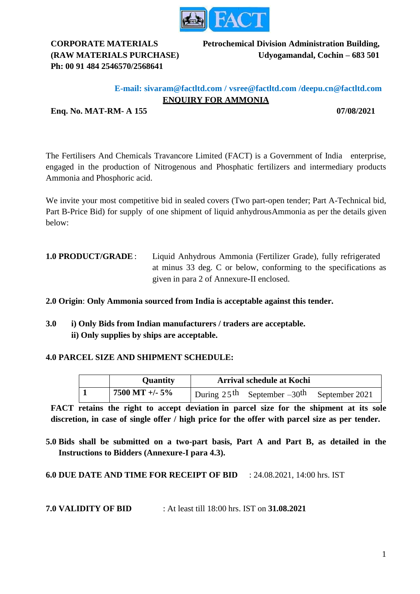

# **Ph: 00 91 484 2546570/2568641**

**CORPORATE MATERIALS Petrochemical Division Administration Building, (RAW MATERIALS PURCHASE) Udyogamandal, Cochin – 683 501**

# **E-mail: sivaram@factltd.com / vsree@factltd.com /deepu.cn@factltd.com ENQUIRY FOR AMMONIA**

**Enq. No. MAT-RM- A 155 07/08/2021**

The Fertilisers And Chemicals Travancore Limited (FACT) is a Government of India enterprise, engaged in the production of Nitrogenous and Phosphatic fertilizers and intermediary products Ammonia and Phosphoric acid.

We invite your most competitive bid in sealed covers (Two part-open tender; Part A-Technical bid, Part B-Price Bid) for supply of one shipment of liquid anhydrousAmmonia as per the details given below:

**1.0 PRODUCT/GRADE** : Liquid Anhydrous Ammonia (Fertilizer Grade), fully refrigerated at minus 33 deg. C or below, conforming to the specifications as given in para 2 of Annexure-II enclosed.

**2.0 Origin**: **Only Ammonia sourced from India is acceptable against this tender.**

**3.0 i) Only Bids from Indian manufacturers / traders are acceptable. ii) Only supplies by ships are acceptable.**

#### **4.0 PARCEL SIZE AND SHIPMENT SCHEDULE:**

| <b>Quantity</b> | <b>Arrival schedule at Kochi</b>      |                |
|-----------------|---------------------------------------|----------------|
| 7500 MT +/- 5%  | During $25^{th}$ September $-30^{th}$ | September 2021 |

**FACT retains the right to accept deviation in parcel size for the shipment at its sole discretion, in case of single offer / high price for the offer with parcel size as per tender.**

**5.0 Bids shall be submitted on a two-part basis, Part A and Part B, as detailed in the Instructions to Bidders (Annexure-I para 4.3).** 

**6.0 DUE DATE AND TIME FOR RECEIPT OF BID** : 24.08.2021, 14:00 hrs. IST

**7.0 VALIDITY OF BID** : At least till 18:00 hrs. IST on **31.08.2021**

1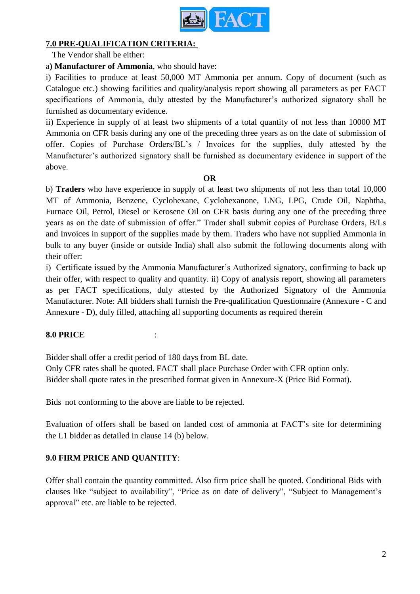

## **7.0 PRE-QUALIFICATION CRITERIA:**

The Vendor shall be either:

a**) Manufacturer of Ammonia**, who should have:

i) Facilities to produce at least 50,000 MT Ammonia per annum. Copy of document (such as Catalogue etc.) showing facilities and quality/analysis report showing all parameters as per FACT specifications of Ammonia, duly attested by the Manufacturer's authorized signatory shall be furnished as documentary evidence.

ii) Experience in supply of at least two shipments of a total quantity of not less than 10000 MT Ammonia on CFR basis during any one of the preceding three years as on the date of submission of offer. Copies of Purchase Orders/BL's / Invoices for the supplies, duly attested by the Manufacturer's authorized signatory shall be furnished as documentary evidence in support of the above.

#### **OR**

 b) **Traders** who have experience in supply of at least two shipments of not less than total 10,000 MT of Ammonia, Benzene, Cyclohexane, Cyclohexanone, LNG, LPG, Crude Oil, Naphtha, Furnace Oil, Petrol, Diesel or Kerosene Oil on CFR basis during any one of the preceding three years as on the date of submission of offer." Trader shall submit copies of Purchase Orders, B/Ls and Invoices in support of the supplies made by them. Traders who have not supplied Ammonia in bulk to any buyer (inside or outside India) shall also submit the following documents along with their offer:

i) Certificate issued by the Ammonia Manufacturer's Authorized signatory, confirming to back up their offer, with respect to quality and quantity. ii) Copy of analysis report, showing all parameters as per FACT specifications, duly attested by the Authorized Signatory of the Ammonia Manufacturer. Note: All bidders shall furnish the Pre-qualification Questionnaire (Annexure - C and Annexure - D), duly filled, attaching all supporting documents as required therein

#### **8.0 PRICE** :

Bidder shall offer a credit period of 180 days from BL date.

Only CFR rates shall be quoted. FACT shall place Purchase Order with CFR option only. Bidder shall quote rates in the prescribed format given in Annexure-X (Price Bid Format).

Bids not conforming to the above are liable to be rejected.

Evaluation of offers shall be based on landed cost of ammonia at FACT's site for determining the L1 bidder as detailed in clause 14 (b) below.

# **9.0 FIRM PRICE AND QUANTITY**:

Offer shall contain the quantity committed. Also firm price shall be quoted. Conditional Bids with clauses like "subject to availability", "Price as on date of delivery", "Subject to Management's approval" etc. are liable to be rejected.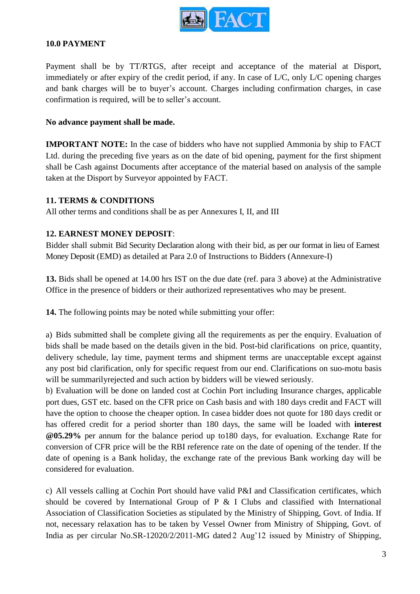

#### **10.0 PAYMENT**

Payment shall be by TT/RTGS, after receipt and acceptance of the material at Disport, immediately or after expiry of the credit period, if any. In case of L/C, only L/C opening charges and bank charges will be to buyer's account. Charges including confirmation charges, in case confirmation is required, will be to seller's account.

#### **No advance payment shall be made.**

**IMPORTANT NOTE:** In the case of bidders who have not supplied Ammonia by ship to FACT Ltd. during the preceding five years as on the date of bid opening, payment for the first shipment shall be Cash against Documents after acceptance of the material based on analysis of the sample taken at the Disport by Surveyor appointed by FACT.

#### **11. TERMS & CONDITIONS**

All other terms and conditions shall be as per Annexures I, II, and III

#### **12. EARNEST MONEY DEPOSIT**:

Bidder shall submit Bid Security Declaration along with their bid, as per our format in lieu of Earnest Money Deposit (EMD) as detailed at Para 2.0 of Instructions to Bidders (Annexure-I)

**13.** Bids shall be opened at 14.00 hrs IST on the due date (ref. para 3 above) at the Administrative Office in the presence of bidders or their authorized representatives who may be present.

**14.** The following points may be noted while submitting your offer:

a) Bids submitted shall be complete giving all the requirements as per the enquiry. Evaluation of bids shall be made based on the details given in the bid. Post-bid clarifications on price, quantity, delivery schedule, lay time, payment terms and shipment terms are unacceptable except against any post bid clarification, only for specific request from our end. Clarifications on suo-motu basis will be summarilyrejected and such action by bidders will be viewed seriously.

b) Evaluation will be done on landed cost at Cochin Port including Insurance charges, applicable port dues, GST etc. based on the CFR price on Cash basis and with 180 days credit and FACT will have the option to choose the cheaper option. In casea bidder does not quote for 180 days credit or has offered credit for a period shorter than 180 days, the same will be loaded with **interest @05.29%** per annum for the balance period up to180 days, for evaluation. Exchange Rate for conversion of CFR price will be the RBI reference rate on the date of opening of the tender. If the date of opening is a Bank holiday, the exchange rate of the previous Bank working day will be considered for evaluation.

c) All vessels calling at Cochin Port should have valid P&I and Classification certificates, which should be covered by International Group of P  $\&$  I Clubs and classified with International Association of Classification Societies as stipulated by the Ministry of Shipping, Govt. of India. If not, necessary relaxation has to be taken by Vessel Owner from Ministry of Shipping, Govt. of India as per circular No.SR-12020/2/2011-MG dated 2 Aug'12 issued by Ministry of Shipping,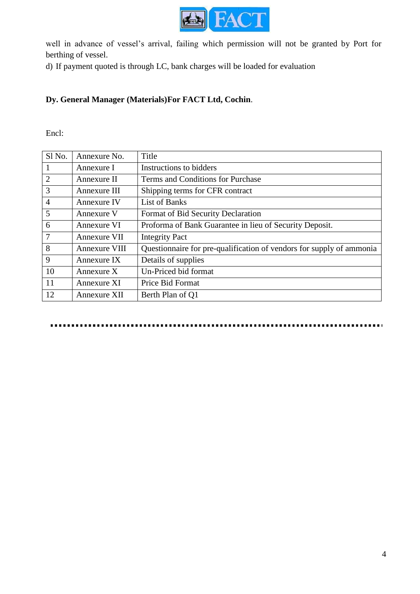

well in advance of vessel's arrival, failing which permission will not be granted by Port for berthing of vessel.

d) If payment quoted is through LC, bank charges will be loaded for evaluation

# **Dy. General Manager (Materials)For FACT Ltd, Cochin**.

Encl:

| Sl No.         | Annexure No.  | Title                                                                |
|----------------|---------------|----------------------------------------------------------------------|
| 1              | Annexure I    | Instructions to bidders                                              |
| $\overline{2}$ | Annexure II   | Terms and Conditions for Purchase                                    |
| 3              | Annexure III  | Shipping terms for CFR contract                                      |
| $\overline{4}$ | Annexure IV   | <b>List of Banks</b>                                                 |
| 5              | Annexure V    | Format of Bid Security Declaration                                   |
| 6              | Annexure VI   | Proforma of Bank Guarantee in lieu of Security Deposit.              |
| $\overline{7}$ | Annexure VII  | <b>Integrity Pact</b>                                                |
| 8              | Annexure VIII | Questionnaire for pre-qualification of vendors for supply of ammonia |
| 9              | Annexure IX   | Details of supplies                                                  |
| 10             | Annexure $X$  | Un-Priced bid format                                                 |
| 11             | Annexure XI   | Price Bid Format                                                     |
| 12             | Annexure XII  | Berth Plan of Q1                                                     |

.........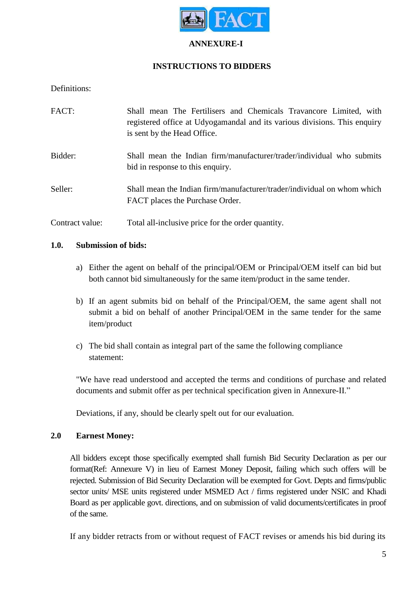

#### **ANNEXURE-I**

# **INSTRUCTIONS TO BIDDERS**

Definitions:

| FACT:           | Shall mean The Fertilisers and Chemicals Travancore Limited, with<br>registered office at Udyogamandal and its various divisions. This enquiry<br>is sent by the Head Office. |
|-----------------|-------------------------------------------------------------------------------------------------------------------------------------------------------------------------------|
| Bidder:         | Shall mean the Indian firm/manufacturer/trader/individual who submits<br>bid in response to this enquiry.                                                                     |
| Seller:         | Shall mean the Indian firm/manufacturer/trader/individual on whom which<br>FACT places the Purchase Order.                                                                    |
| Contract value: | Total all-inclusive price for the order quantity.                                                                                                                             |

#### **1.0. Submission of bids:**

- a) Either the agent on behalf of the principal/OEM or Principal/OEM itself can bid but both cannot bid simultaneously for the same item/product in the same tender.
- b) If an agent submits bid on behalf of the Principal/OEM, the same agent shall not submit a bid on behalf of another Principal/OEM in the same tender for the same item/product
- c) The bid shall contain as integral part of the same the following compliance statement:

"We have read understood and accepted the terms and conditions of purchase and related documents and submit offer as per technical specification given in Annexure-II."

Deviations, if any, should be clearly spelt out for our evaluation.

#### **2.0 Earnest Money:**

All bidders except those specifically exempted shall furnish Bid Security Declaration as per our format(Ref: Annexure V) in lieu of Earnest Money Deposit, failing which such offers will be rejected. Submission of Bid Security Declaration will be exempted for Govt. Depts and firms/public sector units/ MSE units registered under MSMED Act / firms registered under NSIC and Khadi Board as per applicable govt. directions, and on submission of valid documents/certificates in proof of the same.

If any bidder retracts from or without request of FACT revises or amends his bid during its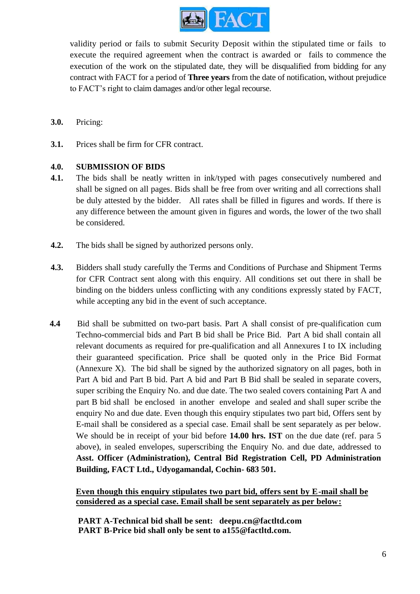

validity period or fails to submit Security Deposit within the stipulated time or fails to execute the required agreement when the contract is awarded or fails to commence the execution of the work on the stipulated date, they will be disqualified from bidding for any contract with FACT for a period of **Three years** from the date of notification, without prejudice to FACT's right to claim damages and/or other legal recourse.

- **3.0.** Pricing:
- **3.1.** Prices shall be firm for CFR contract.

#### **4.0. SUBMISSION OF BIDS**

- **4.1.** The bids shall be neatly written in ink/typed with pages consecutively numbered and shall be signed on all pages. Bids shall be free from over writing and all corrections shall be duly attested by the bidder. All rates shall be filled in figures and words. If there is any difference between the amount given in figures and words, the lower of the two shall be considered.
- **4.2.** The bids shall be signed by authorized persons only.
- **4.3.** Bidders shall study carefully the Terms and Conditions of Purchase and Shipment Terms for CFR Contract sent along with this enquiry. All conditions set out there in shall be binding on the bidders unless conflicting with any conditions expressly stated by FACT, while accepting any bid in the event of such acceptance.
- **4.4** Bid shall be submitted on two-part basis. Part A shall consist of pre-qualification cum Techno-commercial bids and Part B bid shall be Price Bid. Part A bid shall contain all relevant documents as required for pre-qualification and all Annexures I to IX including their guaranteed specification. Price shall be quoted only in the Price Bid Format (Annexure X). The bid shall be signed by the authorized signatory on all pages, both in Part A bid and Part B bid. Part A bid and Part B Bid shall be sealed in separate covers, super scribing the Enquiry No. and due date. The two sealed covers containing Part A and part B bid shall be enclosed in another envelope and sealed and shall super scribe the enquiry No and due date. Even though this enquiry stipulates two part bid, Offers sent by E-mail shall be considered as a special case. Email shall be sent separately as per below. We should be in receipt of your bid before **14.00 hrs. IST** on the due date (ref. para 5 above), in sealed envelopes, superscribing the Enquiry No. and due date, addressed to **Asst. Officer (Administration), Central Bid Registration Cell, PD Administration Building, FACT Ltd., Udyogamandal, Cochin- 683 501.**

**Even though this enquiry stipulates two part bid, offers sent by E-mail shall be considered as a special case. Email shall be sent separately as per below:**

**PART A-Technical bid shall be sent: deepu.cn@factltd.com PART B-Price bid shall only be sent to a155@factltd.com.**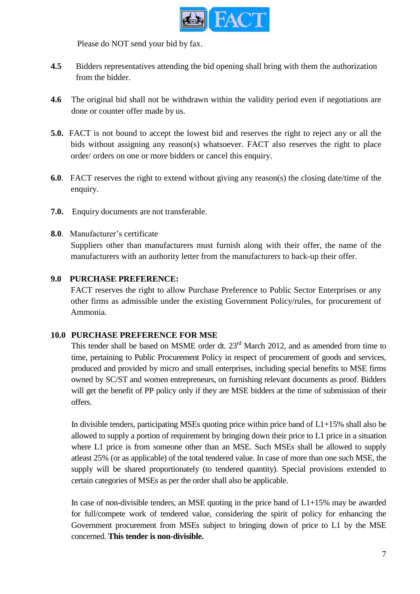

Please do NOT send your bid by fax.

- **4.5** Bidders representatives attending the bid opening shall bring with them the authorization from the bidder.
- **4.6** The original bid shall not be withdrawn within the validity period even if negotiations are done or counter offer made by us.
- **5.0.** FACT is not bound to accept the lowest bid and reserves the right to reject any or all the bids without assigning any reason(s) whatsoever. FACT also reserves the right to place order/ orders on one or more bidders or cancel this enquiry.
- **6.0**. FACT reserves the right to extend without giving any reason(s) the closing date/time of the enquiry.
- **7.0.** Enquiry documents are not transferable.
- **8.0**. Manufacturer's certificate

Suppliers other than manufacturers must furnish along with their offer, the name of the manufacturers with an authority letter from the manufacturers to back-up their offer.

# **9.0 PURCHASE PREFERENCE:**

FACT reserves the right to allow Purchase Preference to Public Sector Enterprises or any other firms as admissible under the existing Government Policy/rules, for procurement of Ammonia.

#### **10.0 PURCHASE PREFERENCE FOR MSE**

This tender shall be based on MSME order dt.  $23<sup>rd</sup>$  March 2012, and as amended from time to time, pertaining to Public Procurement Policy in respect of procurement of goods and services, produced and provided by micro and small enterprises, including special benefits to MSE firms owned by SC/ST and women entrepreneurs, on furnishing relevant documents as proof. Bidders will get the benefit of PP policy only if they are MSE bidders at the time of submission of their offers.

In divisible tenders, participating MSEs quoting price within price band of L1+15% shall also be allowed to supply a portion of requirement by bringing down their price to L1 price in a situation where L1 price is from someone other than an MSE. Such MSEs shall be allowed to supply atleast 25% (or as applicable) of the total tendered value. In case of more than one such MSE, the supply will be shared proportionately (to tendered quantity). Special provisions extended to certain categories of MSEs as per the order shall also be applicable.

In case of non-divisible tenders, an MSE quoting in the price band of  $L1+15\%$  may be awarded for full/compete work of tendered value, considering the spirit of policy for enhancing the Government procurement from MSEs subject to bringing down of price to L1 by the MSE concerned. **This tender is non-divisible.**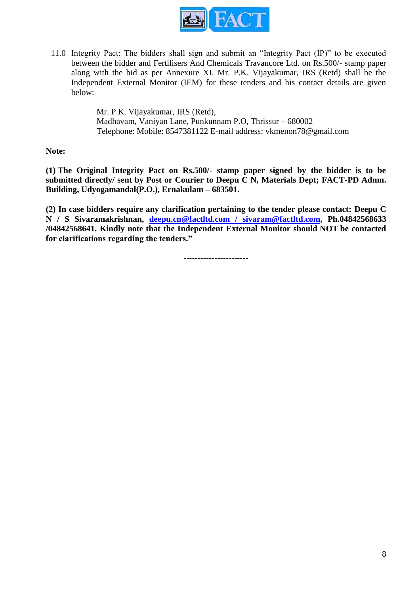

11.0 Integrity Pact: The bidders shall sign and submit an "Integrity Pact (IP)" to be executed between the bidder and Fertilisers And Chemicals Travancore Ltd. on Rs.500/- stamp paper along with the bid as per Annexure XI. Mr. P.K. Vijayakumar, IRS (Retd) shall be the Independent External Monitor (IEM) for these tenders and his contact details are given below:

> Mr. P.K. Vijayakumar, IRS (Retd), Madhavam, Vaniyan Lane, Punkunnam P.O, Thrissur – 680002 Telephone: Mobile: 8547381122 E-mail address: vkmenon78@gmail.com

**Note:**

**(1) The Original Integrity Pact on Rs.500/- stamp paper signed by the bidder is to be submitted directly/ sent by Post or Courier to Deepu C N, Materials Dept; FACT-PD Admn. Building, Udyogamandal(P.O.), Ernakulam – 683501.**

**(2) In case bidders require any clarification pertaining to the tender please contact: Deepu C N / S Sivaramakrishnan, deepu.cn@factltd.com / sivaram@factltd.com, Ph.04842568633 /04842568641. Kindly note that the Independent External Monitor should NOT be contacted for clarifications regarding the tenders."**

-----------------------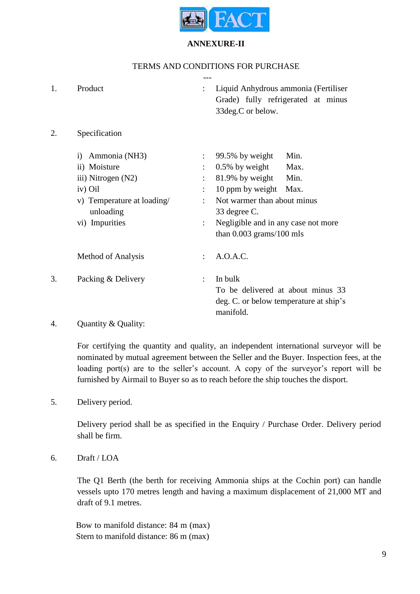

#### **ANNEXURE-II**

# TERMS AND CONDITIONS FOR PURCHASE

| 1. | Product                                                                                                                        |                           | Liquid Anhydrous ammonia (Fertiliser<br>Grade) fully refrigerated at minus<br>33deg.C or below.                                                                                                                              |
|----|--------------------------------------------------------------------------------------------------------------------------------|---------------------------|------------------------------------------------------------------------------------------------------------------------------------------------------------------------------------------------------------------------------|
| 2. | Specification                                                                                                                  |                           |                                                                                                                                                                                                                              |
|    | i) Ammonia (NH3)<br>ii) Moisture<br>iii) Nitrogen (N2)<br>iv) Oil<br>v) Temperature at loading/<br>unloading<br>vi) Impurities | $\ddot{\phantom{a}}$<br>÷ | 99.5% by weight<br>Min.<br>$0.5\%$ by weight<br>Max.<br>81.9% by weight<br>Min.<br>10 ppm by weight Max.<br>Not warmer than about minus<br>33 degree C.<br>Negligible and in any case not more<br>than $0.003$ grams/100 mls |
|    | Method of Analysis                                                                                                             | $\ddot{\cdot}$            | A.O.A.C.                                                                                                                                                                                                                     |
| 3. | Packing & Delivery<br>$\cdots$ $\sim$                                                                                          | $\ddot{\cdot}$            | In bulk<br>To be delivered at about minus 33<br>deg. C. or below temperature at ship's<br>manifold.                                                                                                                          |
|    |                                                                                                                                |                           |                                                                                                                                                                                                                              |

#### 4. Quantity & Quality:

For certifying the quantity and quality, an independent international surveyor will be nominated by mutual agreement between the Seller and the Buyer. Inspection fees, at the loading port(s) are to the seller's account. A copy of the surveyor's report will be furnished by Airmail to Buyer so as to reach before the ship touches the disport.

5. Delivery period.

Delivery period shall be as specified in the Enquiry / Purchase Order. Delivery period shall be firm.

6. Draft / LOA

The Q1 Berth (the berth for receiving Ammonia ships at the Cochin port) can handle vessels upto 170 metres length and having a maximum displacement of 21,000 MT and draft of 9.1 metres.

Bow to manifold distance: 84 m (max) Stern to manifold distance: 86 m (max)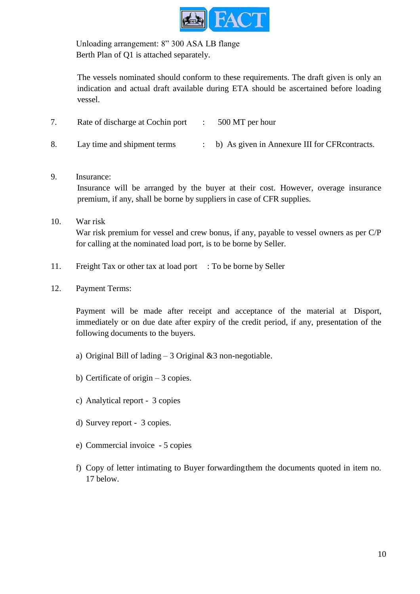

Unloading arrangement: 8" 300 ASA LB flange Berth Plan of Q1 is attached separately.

The vessels nominated should conform to these requirements. The draft given is only an indication and actual draft available during ETA should be ascertained before loading vessel.

| Rate of discharge at Cochin port | 500 MT per hour                                  |
|----------------------------------|--------------------------------------------------|
| Lay time and shipment terms      | : b) As given in Annexure III for CFR contracts. |

9. Insurance:

Insurance will be arranged by the buyer at their cost. However, overage insurance premium, if any, shall be borne by suppliers in case of CFR supplies.

- 10. War risk War risk premium for vessel and crew bonus, if any, payable to vessel owners as per C/P for calling at the nominated load port, is to be borne by Seller.
- 11. Freight Tax or other tax at load port : To be borne by Seller
- 12. Payment Terms:

Payment will be made after receipt and acceptance of the material at Disport, immediately or on due date after expiry of the credit period, if any, presentation of the following documents to the buyers.

- a) Original Bill of lading  $-3$  Original &3 non-negotiable.
- b) Certificate of origin  $-3$  copies.
- c) Analytical report 3 copies
- d) Survey report 3 copies.
- e) Commercial invoice 5 copies
- f) Copy of letter intimating to Buyer forwardingthem the documents quoted in item no. 17 below.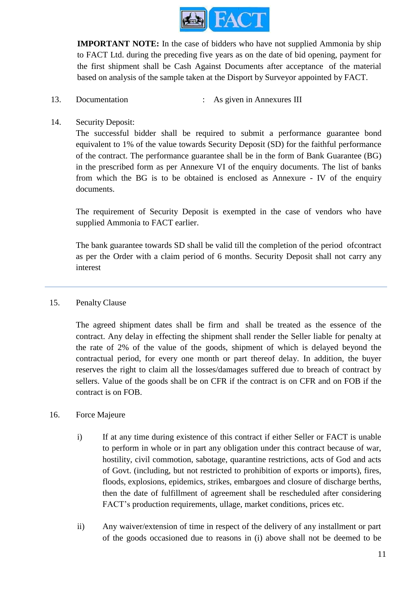

**IMPORTANT NOTE:** In the case of bidders who have not supplied Ammonia by ship to FACT Ltd. during the preceding five years as on the date of bid opening, payment for the first shipment shall be Cash Against Documents after acceptance of the material based on analysis of the sample taken at the Disport by Surveyor appointed by FACT.

- 13. Documentation : As given in Annexures III
- 14. Security Deposit:

The successful bidder shall be required to submit a performance guarantee bond equivalent to 1% of the value towards Security Deposit (SD) for the faithful performance of the contract. The performance guarantee shall be in the form of Bank Guarantee (BG) in the prescribed form as per Annexure VI of the enquiry documents. The list of banks from which the BG is to be obtained is enclosed as Annexure - IV of the enquiry documents.

The requirement of Security Deposit is exempted in the case of vendors who have supplied Ammonia to FACT earlier.

The bank guarantee towards SD shall be valid till the completion of the period ofcontract as per the Order with a claim period of 6 months. Security Deposit shall not carry any interest

#### 15. Penalty Clause

The agreed shipment dates shall be firm and shall be treated as the essence of the contract. Any delay in effecting the shipment shall render the Seller liable for penalty at the rate of 2% of the value of the goods, shipment of which is delayed beyond the contractual period, for every one month or part thereof delay. In addition, the buyer reserves the right to claim all the losses/damages suffered due to breach of contract by sellers. Value of the goods shall be on CFR if the contract is on CFR and on FOB if the contract is on FOB.

#### 16. Force Majeure

- i) If at any time during existence of this contract if either Seller or FACT is unable to perform in whole or in part any obligation under this contract because of war, hostility, civil commotion, sabotage, quarantine restrictions, acts of God and acts of Govt. (including, but not restricted to prohibition of exports or imports), fires, floods, explosions, epidemics, strikes, embargoes and closure of discharge berths, then the date of fulfillment of agreement shall be rescheduled after considering FACT's production requirements, ullage, market conditions, prices etc.
- ii) Any waiver/extension of time in respect of the delivery of any installment or part of the goods occasioned due to reasons in (i) above shall not be deemed to be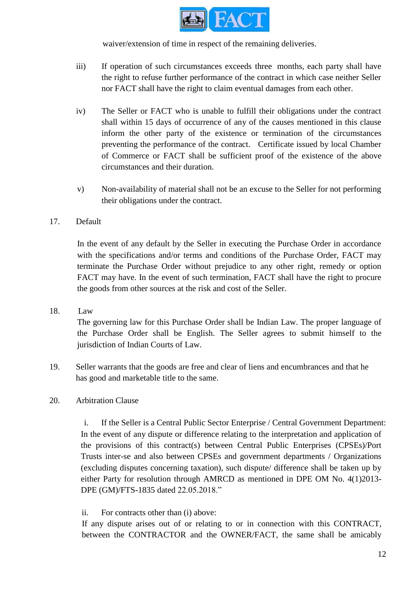

waiver/extension of time in respect of the remaining deliveries.

- iii) If operation of such circumstances exceeds three months, each party shall have the right to refuse further performance of the contract in which case neither Seller nor FACT shall have the right to claim eventual damages from each other.
- iv) The Seller or FACT who is unable to fulfill their obligations under the contract shall within 15 days of occurrence of any of the causes mentioned in this clause inform the other party of the existence or termination of the circumstances preventing the performance of the contract. Certificate issued by local Chamber of Commerce or FACT shall be sufficient proof of the existence of the above circumstances and their duration.
- v) Non-availability of material shall not be an excuse to the Seller for not performing their obligations under the contract.

# 17. Default

In the event of any default by the Seller in executing the Purchase Order in accordance with the specifications and/or terms and conditions of the Purchase Order, FACT may terminate the Purchase Order without prejudice to any other right, remedy or option FACT may have. In the event of such termination, FACT shall have the right to procure the goods from other sources at the risk and cost of the Seller.

#### 18. Law

The governing law for this Purchase Order shall be Indian Law. The proper language of the Purchase Order shall be English. The Seller agrees to submit himself to the jurisdiction of Indian Courts of Law.

19. Seller warrants that the goods are free and clear of liens and encumbrances and that he has good and marketable title to the same.

#### 20. Arbitration Clause

i. If the Seller is a Central Public Sector Enterprise / Central Government Department: In the event of any dispute or difference relating to the interpretation and application of the provisions of this contract(s) between Central Public Enterprises (CPSEs)/Port Trusts inter-se and also between CPSEs and government departments / Organizations (excluding disputes concerning taxation), such dispute/ difference shall be taken up by either Party for resolution through AMRCD as mentioned in DPE OM No. 4(1)2013- DPE (GM)/FTS-1835 dated 22.05.2018."

#### ii. For contracts other than (i) above:

If any dispute arises out of or relating to or in connection with this CONTRACT, between the CONTRACTOR and the OWNER/FACT, the same shall be amicably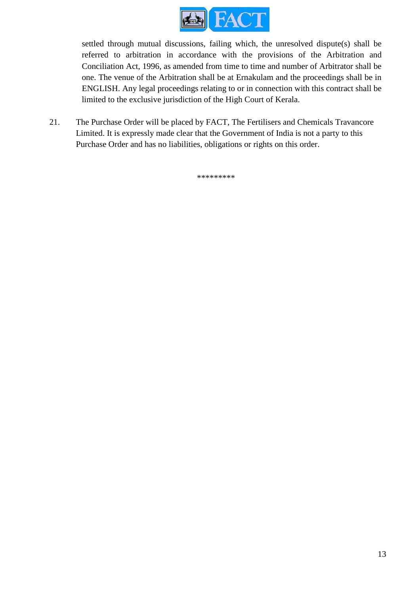

settled through mutual discussions, failing which, the unresolved dispute(s) shall be referred to arbitration in accordance with the provisions of the Arbitration and Conciliation Act, 1996, as amended from time to time and number of Arbitrator shall be one. The venue of the Arbitration shall be at Ernakulam and the proceedings shall be in ENGLISH. Any legal proceedings relating to or in connection with this contract shall be limited to the exclusive jurisdiction of the High Court of Kerala.

21. The Purchase Order will be placed by FACT, The Fertilisers and Chemicals Travancore Limited. It is expressly made clear that the Government of India is not a party to this Purchase Order and has no liabilities, obligations or rights on this order.

\*\*\*\*\*\*\*\*\*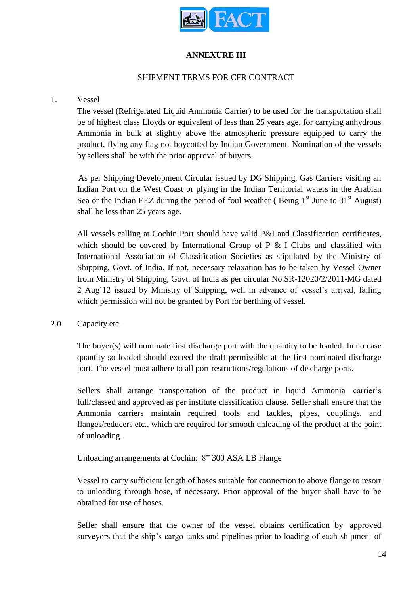

### **ANNEXURE III**

#### SHIPMENT TERMS FOR CFR CONTRACT

#### 1. Vessel

The vessel (Refrigerated Liquid Ammonia Carrier) to be used for the transportation shall be of highest class Lloyds or equivalent of less than 25 years age, for carrying anhydrous Ammonia in bulk at slightly above the atmospheric pressure equipped to carry the product, flying any flag not boycotted by Indian Government. Nomination of the vessels by sellers shall be with the prior approval of buyers.

As per Shipping Development Circular issued by DG Shipping, Gas Carriers visiting an Indian Port on the West Coast or plying in the Indian Territorial waters in the Arabian Sea or the Indian EEZ during the period of foul weather (Being  $1<sup>st</sup>$  June to  $31<sup>st</sup>$  August) shall be less than 25 years age.

All vessels calling at Cochin Port should have valid P&I and Classification certificates, which should be covered by International Group of P & I Clubs and classified with International Association of Classification Societies as stipulated by the Ministry of Shipping, Govt. of India. If not, necessary relaxation has to be taken by Vessel Owner from Ministry of Shipping, Govt. of India as per circular No.SR-12020/2/2011-MG dated 2 Aug'12 issued by Ministry of Shipping, well in advance of vessel's arrival, failing which permission will not be granted by Port for berthing of vessel.

2.0 Capacity etc.

The buyer(s) will nominate first discharge port with the quantity to be loaded. In no case quantity so loaded should exceed the draft permissible at the first nominated discharge port. The vessel must adhere to all port restrictions/regulations of discharge ports.

Sellers shall arrange transportation of the product in liquid Ammonia carrier's full/classed and approved as per institute classification clause. Seller shall ensure that the Ammonia carriers maintain required tools and tackles, pipes, couplings, and flanges/reducers etc., which are required for smooth unloading of the product at the point of unloading.

Unloading arrangements at Cochin: 8" 300 ASA LB Flange

Vessel to carry sufficient length of hoses suitable for connection to above flange to resort to unloading through hose, if necessary. Prior approval of the buyer shall have to be obtained for use of hoses.

Seller shall ensure that the owner of the vessel obtains certification by approved surveyors that the ship's cargo tanks and pipelines prior to loading of each shipment of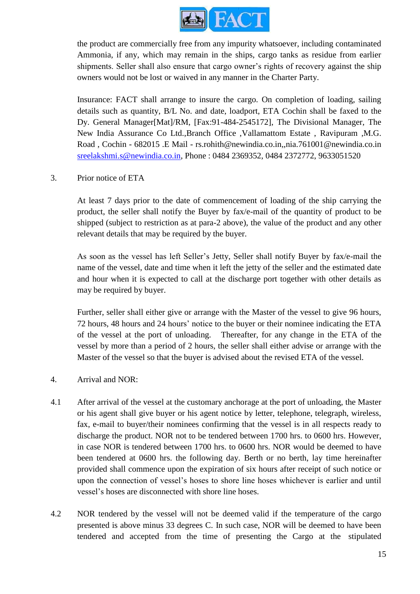

the product are commercially free from any impurity whatsoever, including contaminated Ammonia, if any, which may remain in the ships, cargo tanks as residue from earlier shipments. Seller shall also ensure that cargo owner's rights of recovery against the ship owners would not be lost or waived in any manner in the Charter Party.

Insurance: FACT shall arrange to insure the cargo. On completion of loading, sailing details such as quantity, B/L No. and date, loadport, ETA Cochin shall be faxed to the Dy. General Manager[Mat]/RM, [Fax:91-484-2545172], The Divisional Manager, The New India Assurance Co Ltd.,Branch Office ,Vallamattom Estate , Ravipuram ,M.G. Road , Cochin - 682015 .E Mail - rs.rohith@newindia.co.in,,nia.761001@newindia.co.in sreelakshmi.s@newindia.co.in, Phone : 0484 2369352, 0484 2372772, 9633051520

#### 3. Prior notice of ETA

At least 7 days prior to the date of commencement of loading of the ship carrying the product, the seller shall notify the Buyer by fax/e-mail of the quantity of product to be shipped (subject to restriction as at para-2 above), the value of the product and any other relevant details that may be required by the buyer.

As soon as the vessel has left Seller's Jetty, Seller shall notify Buyer by fax/e-mail the name of the vessel, date and time when it left the jetty of the seller and the estimated date and hour when it is expected to call at the discharge port together with other details as may be required by buyer.

Further, seller shall either give or arrange with the Master of the vessel to give 96 hours, 72 hours, 48 hours and 24 hours' notice to the buyer or their nominee indicating the ETA of the vessel at the port of unloading. Thereafter, for any change in the ETA of the vessel by more than a period of 2 hours, the seller shall either advise or arrange with the Master of the vessel so that the buyer is advised about the revised ETA of the vessel.

#### 4. Arrival and NOR:

- 4.1 After arrival of the vessel at the customary anchorage at the port of unloading, the Master or his agent shall give buyer or his agent notice by letter, telephone, telegraph, wireless, fax, e-mail to buyer/their nominees confirming that the vessel is in all respects ready to discharge the product. NOR not to be tendered between 1700 hrs. to 0600 hrs. However, in case NOR is tendered between 1700 hrs. to 0600 hrs. NOR would be deemed to have been tendered at 0600 hrs. the following day. Berth or no berth, lay time hereinafter provided shall commence upon the expiration of six hours after receipt of such notice or upon the connection of vessel's hoses to shore line hoses whichever is earlier and until vessel's hoses are disconnected with shore line hoses.
- 4.2 NOR tendered by the vessel will not be deemed valid if the temperature of the cargo presented is above minus 33 degrees C. In such case, NOR will be deemed to have been tendered and accepted from the time of presenting the Cargo at the stipulated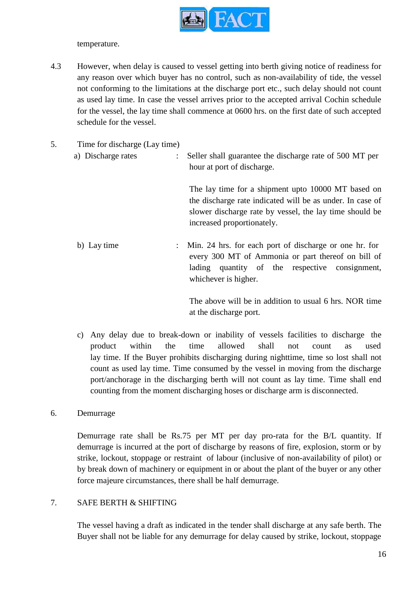

temperature.

- 4.3 However, when delay is caused to vessel getting into berth giving notice of readiness for any reason over which buyer has no control, such as non-availability of tide, the vessel not conforming to the limitations at the discharge port etc., such delay should not count as used lay time. In case the vessel arrives prior to the accepted arrival Cochin schedule for the vessel, the lay time shall commence at 0600 hrs. on the first date of such accepted schedule for the vessel.
- 5. Time for discharge (Lay time)
	- a) Discharge rates : Seller shall guarantee the discharge rate of 500 MT per hour at port of discharge.

The lay time for a shipment upto 10000 MT based on the discharge rate indicated will be as under. In case of slower discharge rate by vessel, the lay time should be increased proportionately.

b) Lay time : Min. 24 hrs. for each port of discharge or one hr. for every 300 MT of Ammonia or part thereof on bill of lading quantity of the respective consignment, whichever is higher.

> The above will be in addition to usual 6 hrs. NOR time at the discharge port.

- c) Any delay due to break-down or inability of vessels facilities to discharge the product within the time allowed shall not count as used lay time. If the Buyer prohibits discharging during nighttime, time so lost shall not count as used lay time. Time consumed by the vessel in moving from the discharge port/anchorage in the discharging berth will not count as lay time. Time shall end counting from the moment discharging hoses or discharge arm is disconnected.
- 6. Demurrage

Demurrage rate shall be Rs.75 per MT per day pro-rata for the B/L quantity. If demurrage is incurred at the port of discharge by reasons of fire, explosion, storm or by strike, lockout, stoppage or restraint of labour (inclusive of non-availability of pilot) or by break down of machinery or equipment in or about the plant of the buyer or any other force majeure circumstances, there shall be half demurrage.

# 7. SAFE BERTH & SHIFTING

The vessel having a draft as indicated in the tender shall discharge at any safe berth. The Buyer shall not be liable for any demurrage for delay caused by strike, lockout, stoppage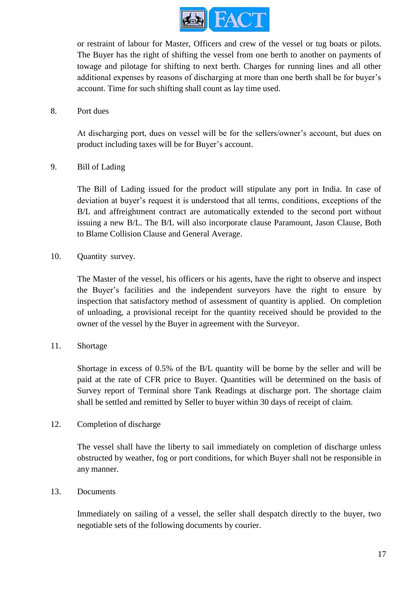

or restraint of labour for Master, Officers and crew of the vessel or tug boats or pilots. The Buyer has the right of shifting the vessel from one berth to another on payments of towage and pilotage for shifting to next berth. Charges for running lines and all other additional expenses by reasons of discharging at more than one berth shall be for buyer's account. Time for such shifting shall count as lay time used.

#### 8. Port dues

At discharging port, dues on vessel will be for the sellers/owner's account, but dues on product including taxes will be for Buyer's account.

#### 9. Bill of Lading

The Bill of Lading issued for the product will stipulate any port in India. In case of deviation at buyer's request it is understood that all terms, conditions, exceptions of the B/L and affreightment contract are automatically extended to the second port without issuing a new B/L. The B/L will also incorporate clause Paramount, Jason Clause, Both to Blame Collision Clause and General Average.

#### 10. Quantity survey.

The Master of the vessel, his officers or his agents, have the right to observe and inspect the Buyer's facilities and the independent surveyors have the right to ensure by inspection that satisfactory method of assessment of quantity is applied. On completion of unloading, a provisional receipt for the quantity received should be provided to the owner of the vessel by the Buyer in agreement with the Surveyor.

#### 11. Shortage

Shortage in excess of 0.5% of the B/L quantity will be borne by the seller and will be paid at the rate of CFR price to Buyer. Quantities will be determined on the basis of Survey report of Terminal shore Tank Readings at discharge port. The shortage claim shall be settled and remitted by Seller to buyer within 30 days of receipt of claim.

#### 12. Completion of discharge

The vessel shall have the liberty to sail immediately on completion of discharge unless obstructed by weather, fog or port conditions, for which Buyer shall not be responsible in any manner.

#### 13. Documents

Immediately on sailing of a vessel, the seller shall despatch directly to the buyer, two negotiable sets of the following documents by courier.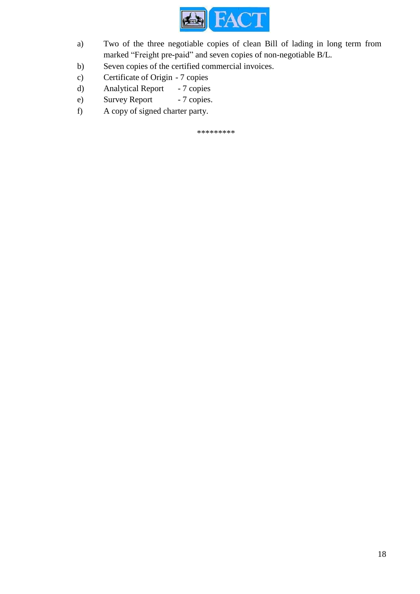

- a) Two of the three negotiable copies of clean Bill of lading in long term from marked "Freight pre-paid" and seven copies of non-negotiable B/L.
- b) Seven copies of the certified commercial invoices.
- c) Certificate of Origin 7 copies
- d) Analytical Report 7 copies
- e) Survey Report 7 copies.
- f) A copy of signed charter party.

\*\*\*\*\*\*\*\*\*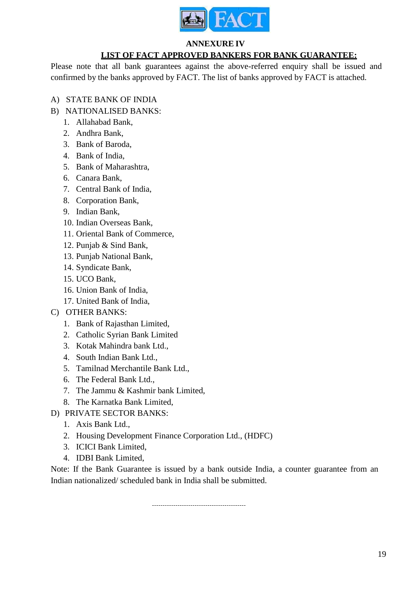

#### **ANNEXURE IV**

# **LIST OF FACT APPROVED BANKERS FOR BANK GUARANTEE:**

Please note that all bank guarantees against the above-referred enquiry shall be issued and confirmed by the banks approved by FACT. The list of banks approved by FACT is attached.

## A) STATE BANK OF INDIA

- B) NATIONALISED BANKS:
	- 1. Allahabad Bank,
	- 2. Andhra Bank,
	- 3. Bank of Baroda,
	- 4. Bank of India,
	- 5. Bank of Maharashtra,
	- 6. Canara Bank,
	- 7. Central Bank of India,
	- 8. Corporation Bank,
	- 9. Indian Bank,
	- 10. Indian Overseas Bank,
	- 11. Oriental Bank of Commerce,
	- 12. Punjab & Sind Bank,
	- 13. Punjab National Bank,
	- 14. Syndicate Bank,
	- 15. UCO Bank,
	- 16. Union Bank of India,
	- 17. United Bank of India,
- C) OTHER BANKS:
	- 1. Bank of Rajasthan Limited,
	- 2. Catholic Syrian Bank Limited
	- 3. Kotak Mahindra bank Ltd.,
	- 4. South Indian Bank Ltd.,
	- 5. Tamilnad Merchantile Bank Ltd.,
	- 6. The Federal Bank Ltd.,
	- 7. The Jammu & Kashmir bank Limited,
	- 8. The Karnatka Bank Limited,
- D) PRIVATE SECTOR BANKS:
	- 1. Axis Bank Ltd.,
	- 2. Housing Development Finance Corporation Ltd., (HDFC)
	- 3. ICICI Bank Limited,
	- 4. IDBI Bank Limited,

Note: If the Bank Guarantee is issued by a bank outside India, a counter guarantee from an Indian nationalized/ scheduled bank in India shall be submitted.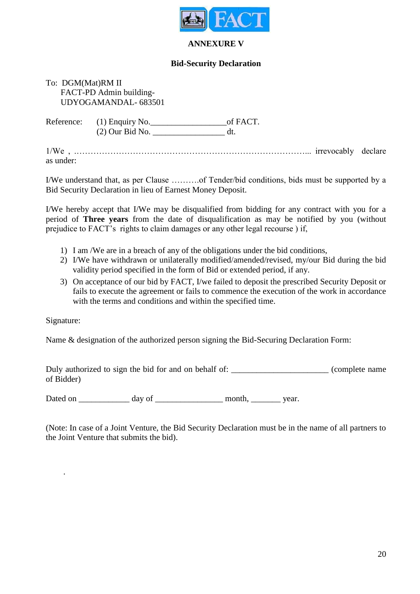

#### **ANNEXURE V**

#### **Bid-Security Declaration**

#### To: DGM(Mat)RM II FACT-PD Admin building- UDYOGAMANDAL- 683501

Reference: (1) Enquiry No.\_\_\_\_\_\_\_\_\_\_\_\_\_\_\_\_\_\_of FACT. (2) Our Bid No. \_\_\_\_\_\_\_\_\_\_\_\_\_\_\_\_\_ dt.

1/We , .………………………………………………………………………... irrevocably declare as under:

I/We understand that, as per Clause ……….of Tender/bid conditions, bids must be supported by a Bid Security Declaration in lieu of Earnest Money Deposit.

I/We hereby accept that I/We may be disqualified from bidding for any contract with you for a period of **Three years** from the date of disqualification as may be notified by you (without prejudice to FACT's rights to claim damages or any other legal recourse ) if,

- 1) I am /We are in a breach of any of the obligations under the bid conditions,
- 2) I/We have withdrawn or unilaterally modified/amended/revised, my/our Bid during the bid validity period specified in the form of Bid or extended period, if any.
- 3) On acceptance of our bid by FACT, I/we failed to deposit the prescribed Security Deposit or fails to execute the agreement or fails to commence the execution of the work in accordance with the terms and conditions and within the specified time.

Signature:

.

Name & designation of the authorized person signing the Bid-Securing Declaration Form:

Duly authorized to sign the bid for and on behalf of: \_\_\_\_\_\_\_\_\_\_\_\_\_\_\_\_\_\_\_\_\_\_\_\_\_\_\_ (complete name of Bidder)

Dated on \_\_\_\_\_\_\_\_\_\_\_\_ day of \_\_\_\_\_\_\_\_\_\_\_\_\_\_\_\_ month, \_\_\_\_\_\_\_ year.

(Note: In case of a Joint Venture, the Bid Security Declaration must be in the name of all partners to the Joint Venture that submits the bid).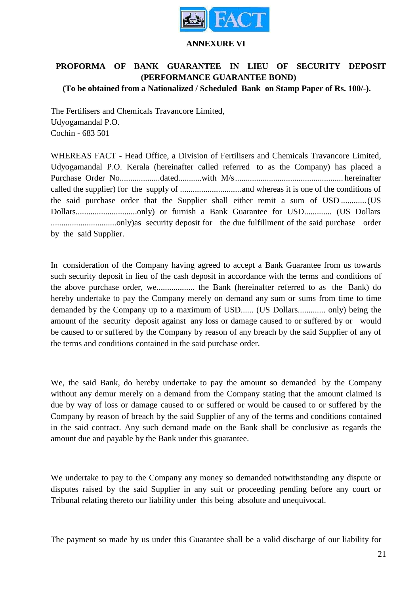

#### **ANNEXURE VI**

# **PROFORMA OF BANK GUARANTEE IN LIEU OF SECURITY DEPOSIT (PERFORMANCE GUARANTEE BOND)**

**(To be obtained from a Nationalized / Scheduled Bank on Stamp Paper of Rs. 100/-).**

The Fertilisers and Chemicals Travancore Limited, Udyogamandal P.O. Cochin - 683 501

WHEREAS FACT - Head Office, a Division of Fertilisers and Chemicals Travancore Limited, Udyogamandal P.O. Kerala (hereinafter called referred to as the Company) has placed a Purchase Order No...................dated...........with M/s................................................... hereinafter called the supplier) for the supply of .............................and whereas it is one of the conditions of the said purchase order that the Supplier shall either remit a sum of USD ............(US Dollars.............................only) or furnish a Bank Guarantee for USD............. (US Dollars ...............................only)as security deposit for the due fulfillment of the said purchase order by the said Supplier.

In consideration of the Company having agreed to accept a Bank Guarantee from us towards such security deposit in lieu of the cash deposit in accordance with the terms and conditions of the above purchase order, we.................. the Bank (hereinafter referred to as the Bank) do hereby undertake to pay the Company merely on demand any sum or sums from time to time demanded by the Company up to a maximum of USD...... (US Dollars............. only) being the amount of the security deposit against any loss or damage caused to or suffered by or would be caused to or suffered by the Company by reason of any breach by the said Supplier of any of the terms and conditions contained in the said purchase order.

We, the said Bank, do hereby undertake to pay the amount so demanded by the Company without any demur merely on a demand from the Company stating that the amount claimed is due by way of loss or damage caused to or suffered or would be caused to or suffered by the Company by reason of breach by the said Supplier of any of the terms and conditions contained in the said contract. Any such demand made on the Bank shall be conclusive as regards the amount due and payable by the Bank under this guarantee.

We undertake to pay to the Company any money so demanded notwithstanding any dispute or disputes raised by the said Supplier in any suit or proceeding pending before any court or Tribunal relating thereto our liability under this being absolute and unequivocal.

The payment so made by us under this Guarantee shall be a valid discharge of our liability for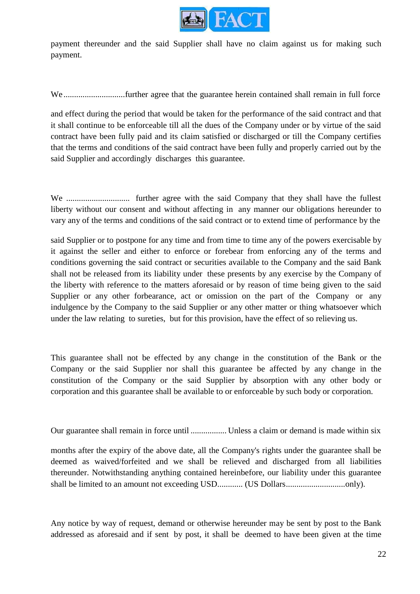

payment thereunder and the said Supplier shall have no claim against us for making such payment.

We .............................further agree that the guarantee herein contained shall remain in full force

and effect during the period that would be taken for the performance of the said contract and that it shall continue to be enforceable till all the dues of the Company under or by virtue of the said contract have been fully paid and its claim satisfied or discharged or till the Company certifies that the terms and conditions of the said contract have been fully and properly carried out by the said Supplier and accordingly discharges this guarantee.

We .............................. further agree with the said Company that they shall have the fullest liberty without our consent and without affecting in any manner our obligations hereunder to vary any of the terms and conditions of the said contract or to extend time of performance by the

said Supplier or to postpone for any time and from time to time any of the powers exercisable by it against the seller and either to enforce or forebear from enforcing any of the terms and conditions governing the said contract or securities available to the Company and the said Bank shall not be released from its liability under these presents by any exercise by the Company of the liberty with reference to the matters aforesaid or by reason of time being given to the said Supplier or any other forbearance, act or omission on the part of the Company or any indulgence by the Company to the said Supplier or any other matter or thing whatsoever which under the law relating to sureties, but for this provision, have the effect of so relieving us.

This guarantee shall not be effected by any change in the constitution of the Bank or the Company or the said Supplier nor shall this guarantee be affected by any change in the constitution of the Company or the said Supplier by absorption with any other body or corporation and this guarantee shall be available to or enforceable by such body or corporation.

Our guarantee shall remain in force until ................. Unless a claim or demand is made within six

months after the expiry of the above date, all the Company's rights under the guarantee shall be deemed as waived/forfeited and we shall be relieved and discharged from all liabilities thereunder. Notwithstanding anything contained hereinbefore, our liability under this guarantee shall be limited to an amount not exceeding USD............ (US Dollars............................only).

Any notice by way of request, demand or otherwise hereunder may be sent by post to the Bank addressed as aforesaid and if sent by post, it shall be deemed to have been given at the time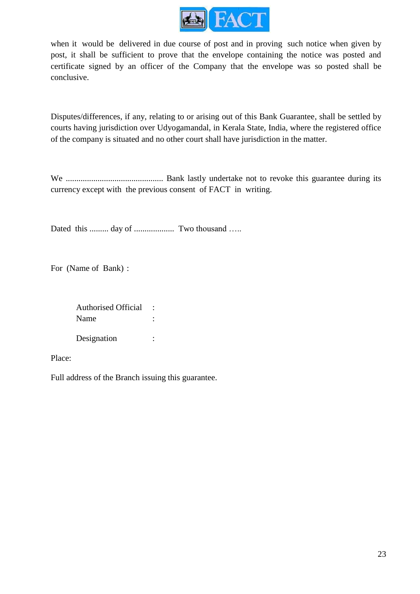

when it would be delivered in due course of post and in proving such notice when given by post, it shall be sufficient to prove that the envelope containing the notice was posted and certificate signed by an officer of the Company that the envelope was so posted shall be conclusive.

Disputes/differences, if any, relating to or arising out of this Bank Guarantee, shall be settled by courts having jurisdiction over Udyogamandal, in Kerala State, India, where the registered office of the company is situated and no other court shall have jurisdiction in the matter.

We .............................................. Bank lastly undertake not to revoke this guarantee during its currency except with the previous consent of FACT in writing.

Dated this ......... day of ................... Two thousand …..

For (Name of Bank) :

Authorised Official : Name : Designation :

Place:

Full address of the Branch issuing this guarantee.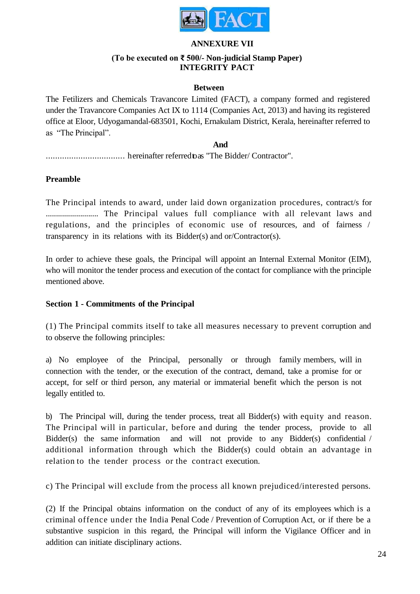

#### **ANNEXURE VII**

#### **(To be executed on ₹ 500/- Non-judicial Stamp Paper) INTEGRITY PACT**

#### **Between**

The Fetilizers and Chemicals Travancore Limited (FACT), a company formed and registered under the Travancore Companies Act IX to 1114 (Companies Act, 2013) and having its registered office at Eloor, Udyogamandal-683501, Kochi, Ernakulam District, Kerala, hereinafter referred to as "The Principal".

# **And**

.................................. hereinafter referredtoas "The Bidder/ Contractor".

#### **Preamble**

The Principal intends to award, under laid down organization procedures, contract/s for .......................... The Principal values full compliance with all relevant laws and regulations, and the principles of economic use of resources, and of fairness / transparency in its relations with its Bidder(s) and or/Contractor(s).

In order to achieve these goals, the Principal will appoint an Internal External Monitor (EIM), who will monitor the tender process and execution of the contact for compliance with the principle mentioned above.

#### **Section 1 - Commitments of the Principal**

(1) The Principal commits itself to take all measures necessary to prevent corruption and to observe the following principles:

a) No employee of the Principal, personally or through family members, will in connection with the tender, or the execution of the contract, demand, take a promise for or accept, for self or third person, any material or immaterial benefit which the person is not legally entitled to.

b) The Principal will, during the tender process, treat all Bidder(s) with equity and reason. The Principal will in particular, before and during the tender process, provide to all Bidder(s) the same information and will not provide to any Bidder(s) confidential / additional information through which the Bidder(s) could obtain an advantage in relation to the tender process or the contract execution.

c) The Principal will exclude from the process all known prejudiced/interested persons.

(2) If the Principal obtains information on the conduct of any of its employees which is a criminal offence under the India Penal Code / Prevention of Corruption Act, or if there be a substantive suspicion in this regard, the Principal will inform the Vigilance Officer and in addition can initiate disciplinary actions.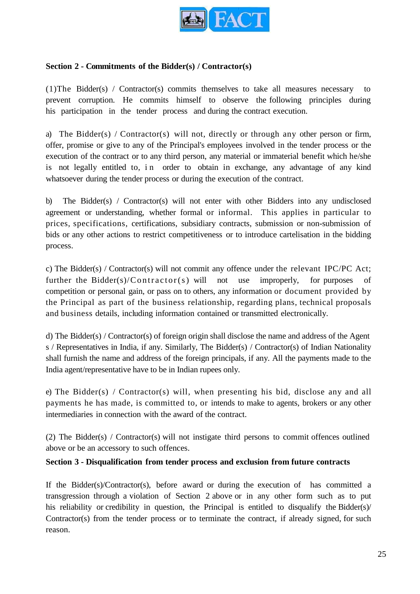

#### **Section 2 - Commitments of the Bidder(s) / Contractor(s)**

(1)The Bidder(s) / Contractor(s) commits themselves to take all measures necessary to prevent corruption. He commits himself to observe the following principles during his participation in the tender process and during the contract execution.

a) The Bidder(s) / Contractor(s) will not, directly or through any other person or firm, offer, promise or give to any of the Principal's employees involved in the tender process or the execution of the contract or to any third person, any material or immaterial benefit which he/she is not legally entitled to, in order to obtain in exchange, any advantage of any kind whatsoever during the tender process or during the execution of the contract.

b) The Bidder(s) / Contractor(s) will not enter with other Bidders into any undisclosed agreement or understanding, whether formal or informal. This applies in particular to prices, specifications, certifications, subsidiary contracts, submission or non-submission of bids or any other actions to restrict competitiveness or to introduce cartelisation in the bidding process.

c) The Bidder(s) / Contractor(s) will not commit any offence under the relevant IPC/PC Act; further the Bidder(s)/Contractor(s) will not use improperly, for purposes of competition or personal gain, or pass on to others, any information or document provided by the Principal as part of the business relationship, regarding plans, technical proposals and business details, including information contained or transmitted electronically.

d) The Bidder(s) / Contractor(s) of foreign origin shall disclose the name and address of the Agent s / Representatives in India, if any. Similarly, The Bidder(s) / Contractor(s) of Indian Nationality shall furnish the name and address of the foreign principals, if any. All the payments made to the India agent/representative have to be in Indian rupees only.

e) The Bidder(s) / Contractor(s) will, when presenting his bid, disclose any and all payments he has made, is committed to, or intends to make to agents, brokers or any other intermediaries in connection with the award of the contract.

(2) The Bidder(s) / Contractor(s) will not instigate third persons to commit offences outlined above or be an accessory to such offences.

#### **Section 3 - Disqualification from tender process and exclusion from future contracts**

If the Bidder(s)/Contractor(s), before award or during the execution of has committed a transgression through a violation of Section 2 above or in any other form such as to put his reliability or credibility in question, the Principal is entitled to disqualify the Bidder(s)/ Contractor(s) from the tender process or to terminate the contract, if already signed, for such reason.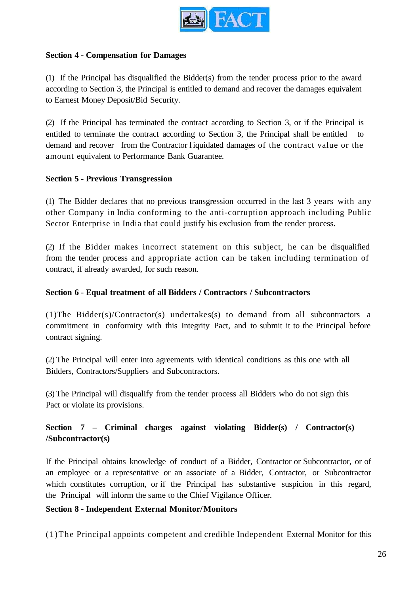

#### **Section 4 - Compensation for Damages**

(1) If the Principal has disqualified the Bidder(s) from the tender process prior to the award according to Section 3, the Principal is entitled to demand and recover the damages equivalent to Earnest Money Deposit/Bid Security.

(2) If the Principal has terminated the contract according to Section 3, or if the Principal is entitled to terminate the contract according to Section 3, the Principal shall be entitled to demand and recover from the Contractor l iquidated damages of the contract value or the amount equivalent to Performance Bank Guarantee.

#### **Section 5 - Previous Transgression**

(1) The Bidder declares that no previous transgression occurred in the last 3 years with any other Company in India conforming to the anti-corruption approach including Public Sector Enterprise in India that could justify his exclusion from the tender process.

(2) If the Bidder makes incorrect statement on this subject, he can be disqualified from the tender process and appropriate action can be taken including termination of contract, if already awarded, for such reason.

#### **Section 6 - Equal treatment of all Bidders / Contractors / Subcontractors**

(1)The Bidder(s)/Contractor(s) undertakes(s) to demand from all subcontractors a commitment in conformity with this Integrity Pact, and to submit it to the Principal before contract signing.

(2) The Principal will enter into agreements with identical conditions as this one with all Bidders, Contractors/Suppliers and Subcontractors.

(3) The Principal will disqualify from the tender process all Bidders who do not sign this Pact or violate its provisions.

# **Section 7 – Criminal charges against violating Bidder(s) / Contractor(s) /Subcontractor(s)**

If the Principal obtains knowledge of conduct of a Bidder, Contractor or Subcontractor, or of an employee or a representative or an associate of a Bidder, Contractor, or Subcontractor which constitutes corruption, or if the Principal has substantive suspicion in this regard, the Principal will inform the same to the Chief Vigilance Officer.

#### **Section 8 - Independent External Monitor/Monitors**

(1)The Principal appoints competent and credible Independent External Monitor for this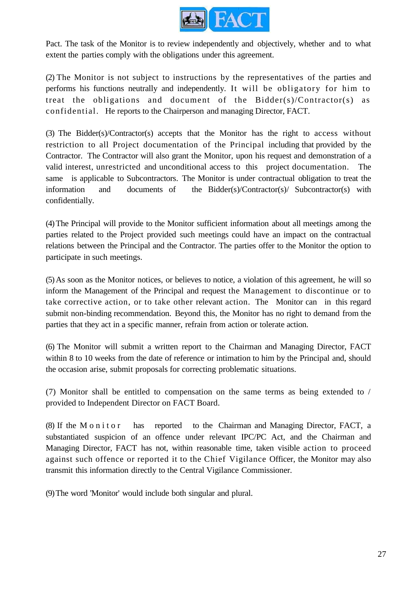

Pact. The task of the Monitor is to review independently and objectively, whether and to what extent the parties comply with the obligations under this agreement.

(2) The Monitor is not subject to instructions by the representatives of the parties and performs his functions neutrally and independently. It will be obligatory for him to treat the obligations and document of the Bidder(s)/Contractor(s) as confidential. He reports to the Chairperson and managing Director, FACT.

(3) The Bidder(s)/Contractor(s) accepts that the Monitor has the right to access without restriction to all Project documentation of the Principal including that provided by the Contractor. The Contractor will also grant the Monitor, upon his request and demonstration of a valid interest, unrestricted and unconditional access to this project documentation. The same is applicable to Subcontractors. The Monitor is under contractual obligation to treat the information and documents of the Bidder(s)/Contractor(s)/ Subcontractor(s) with confidentially.

(4)The Principal will provide to the Monitor sufficient information about all meetings among the parties related to the Project provided such meetings could have an impact on the contractual relations between the Principal and the Contractor. The parties offer to the Monitor the option to participate in such meetings.

(5)As soon as the Monitor notices, or believes to notice, a violation of this agreement, he will so inform the Management of the Principal and request the Management to discontinue or to take corrective action, or to take other relevant action. The Monitor can in this regard submit non-binding recommendation. Beyond this, the Monitor has no right to demand from the parties that they act in a specific manner, refrain from action or tolerate action.

(6) The Monitor will submit a written report to the Chairman and Managing Director, FACT within 8 to 10 weeks from the date of reference or intimation to him by the Principal and, should the occasion arise, submit proposals for correcting problematic situations.

(7) Monitor shall be entitled to compensation on the same terms as being extended to / provided to Independent Director on FACT Board.

(8) If the M o n i t o r has reported to the Chairman and Managing Director, FACT, a substantiated suspicion of an offence under relevant IPC/PC Act, and the Chairman and Managing Director, FACT has not, within reasonable time, taken visible action to proceed against such offence or reported it to the Chief Vigilance Officer, the Monitor may also transmit this information directly to the Central Vigilance Commissioner.

(9)The word 'Monitor' would include both singular and plural.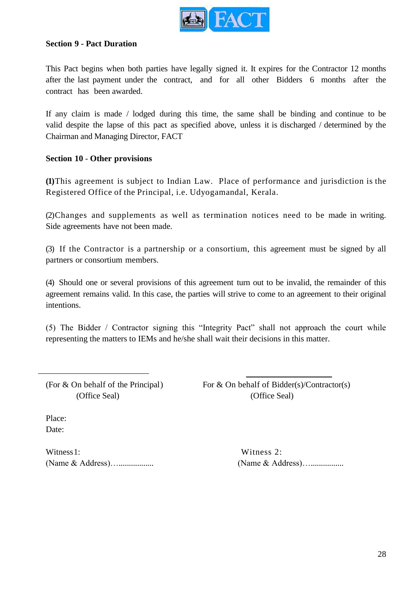

#### **Section 9 - Pact Duration**

This Pact begins when both parties have legally signed it. It expires for the Contractor 12 months after the last payment under the contract, and for all other Bidders 6 months after the contract has been awarded.

If any claim is made / lodged during this time, the same shall be binding and continue to be valid despite the lapse of this pact as specified above, unless it is discharged / determined by the Chairman and Managing Director, FACT

#### **Section 10** - **Other provisions**

**(1)**This agreement is subject to Indian Law. Place of performance and jurisdiction is the Registered Office of the Principal, i.e. Udyogamandal, Kerala.

(2)Changes and supplements as well as termination notices need to be made in writing. Side agreements have not been made.

(3) If the Contractor is a partnership or a consortium, this agreement must be signed by all partners or consortium members.

(4) Should one or several provisions of this agreement turn out to be invalid, the remainder of this agreement remains valid. In this case, the parties will strive to come to an agreement to their original intentions.

(5) The Bidder / Contractor signing this "Integrity Pact" shall not approach the court while representing the matters to IEMs and he/she shall wait their decisions in this matter.

(For  $&$  On behalf of the Principal) For  $&$  On behalf of Bidder(s)/Contractor(s) (Office Seal) (Office Seal)

Place: Date:

Witness 1: Witness 2: (Name & Address)…................. (Name & Address)…................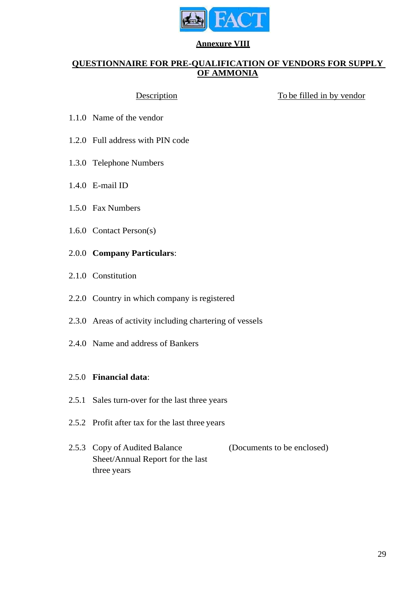

#### **Annexure VIII**

# **QUESTIONNAIRE FOR PRE-QUALIFICATION OF VENDORS FOR SUPPLY OF AMMONIA**

Description To be filled in by vendor

- 1.1.0 Name of the vendor
- 1.2.0 Full address with PIN code
- 1.3.0 Telephone Numbers
- 1.4.0 E-mail ID
- 1.5.0 Fax Numbers
- 1.6.0 Contact Person(s)
- 2.0.0 **Company Particulars**:
- 2.1.0 Constitution
- 2.2.0 Country in which company is registered
- 2.3.0 Areas of activity including chartering of vessels
- 2.4.0 Name and address of Bankers

#### 2.5.0 **Financial data**:

- 2.5.1 Sales turn-over for the last three years
- 2.5.2 Profit after tax for the last three years
- 2.5.3 Copy of Audited Balance Sheet/Annual Report for the last three years (Documents to be enclosed)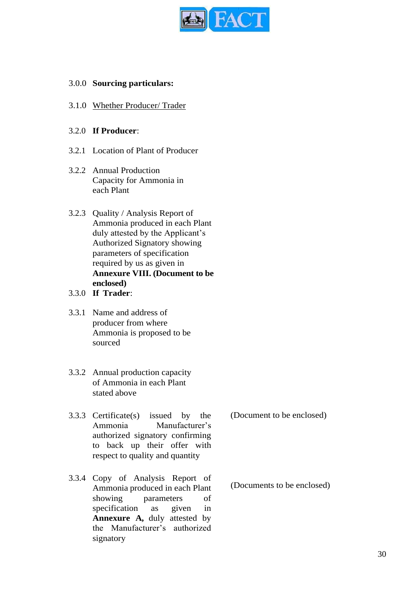

## 3.0.0 **Sourcing particulars:**

3.1.0 Whether Producer/ Trader

#### 3.2.0 **If Producer**:

- 3.2.1 Location of Plant of Producer
- 3.2.2 Annual Production Capacity for Ammonia in each Plant
- 3.2.3 Quality / Analysis Report of Ammonia produced in each Plant duly attested by the Applicant's Authorized Signatory showing parameters of specification required by us as given in **Annexure VIII. (Document to be enclosed)**
- 3.3.0 **If Trader**:
- 3.3.1 Name and address of producer from where Ammonia is proposed to be sourced
- 3.3.2 Annual production capacity of Ammonia in each Plant stated above
- 3.3.3 Certificate(s) issued by the Ammonia Manufacturer's authorized signatory confirming to back up their offer with respect to quality and quantity
- 3.3.4 Copy of Analysis Report of Ammonia produced in each Plant showing parameters of specification as given in **Annexure A,** duly attested by the Manufacturer's authorized signatory

(Document to be enclosed)

(Documents to be enclosed)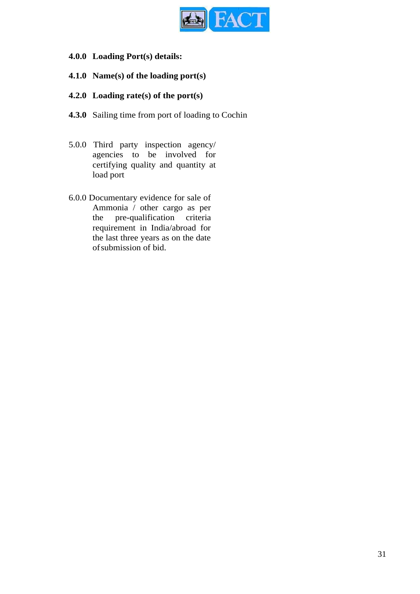

- **4.0.0 Loading Port(s) details:**
- **4.1.0 Name(s) of the loading port(s)**
- **4.2.0 Loading rate(s) of the port(s)**
- **4.3.0** Sailing time from port of loading to Cochin
- 5.0.0 Third party inspection agency/ agencies to be involved for certifying quality and quantity at load port
- 6.0.0 Documentary evidence for sale of Ammonia / other cargo as per the pre-qualification criteria requirement in India/abroad for the last three years as on the date ofsubmission of bid.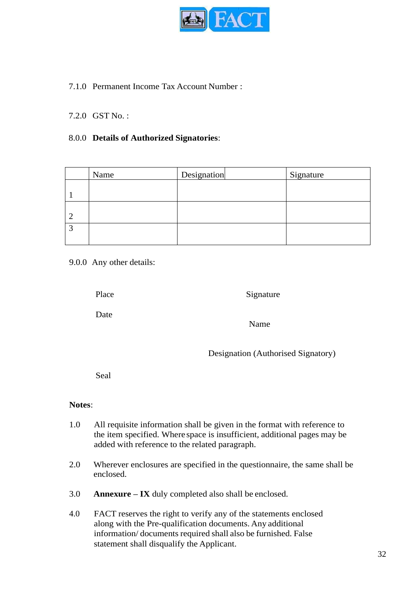

# 7.1.0 Permanent Income Tax Account Number :

#### 7.2.0 GST No. :

#### 8.0.0 **Details of Authorized Signatories**:

| Name | Designation | Signature |
|------|-------------|-----------|
|      |             |           |
|      |             |           |
|      |             |           |
|      |             |           |
|      |             |           |

#### 9.0.0 Any other details:

Place

Signature

Date

Name

Designation (Authorised Signatory)

Seal

#### **Notes**:

- 1.0 All requisite information shall be given in the format with reference to the item specified. Where space is insufficient, additional pages may be added with reference to the related paragraph.
- 2.0 Wherever enclosures are specified in the questionnaire, the same shall be enclosed.
- 3.0 **Annexure – IX** duly completed also shall be enclosed.
- 4.0 FACT reserves the right to verify any of the statements enclosed along with the Pre-qualification documents. Any additional information/ documents required shall also be furnished. False statement shall disqualify the Applicant.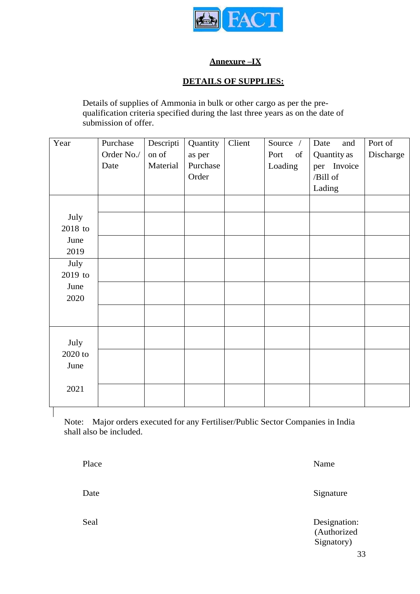

# **Annexure –IX**

# **DETAILS OF SUPPLIES:**

Details of supplies of Ammonia in bulk or other cargo as per the prequalification criteria specified during the last three years as on the date of submission of offer.

| Year      | Purchase   | Descripti | Quantity | Client | Source /              | Date<br>and | Port of   |
|-----------|------------|-----------|----------|--------|-----------------------|-------------|-----------|
|           | Order No./ | on of     | as per   |        | Port<br><sub>of</sub> | Quantity as | Discharge |
|           | Date       | Material  | Purchase |        | Loading               | per Invoice |           |
|           |            |           | Order    |        |                       | /Bill of    |           |
|           |            |           |          |        |                       | Lading      |           |
|           |            |           |          |        |                       |             |           |
| July      |            |           |          |        |                       |             |           |
| 2018 to   |            |           |          |        |                       |             |           |
| June      |            |           |          |        |                       |             |           |
| 2019      |            |           |          |        |                       |             |           |
| July      |            |           |          |        |                       |             |           |
| 2019 to   |            |           |          |        |                       |             |           |
| June      |            |           |          |        |                       |             |           |
| 2020      |            |           |          |        |                       |             |           |
|           |            |           |          |        |                       |             |           |
|           |            |           |          |        |                       |             |           |
| July      |            |           |          |        |                       |             |           |
| $2020$ to |            |           |          |        |                       |             |           |
| June      |            |           |          |        |                       |             |           |
|           |            |           |          |        |                       |             |           |
| 2021      |            |           |          |        |                       |             |           |
|           |            |           |          |        |                       |             |           |
|           |            |           |          |        |                       |             |           |

Note: Major orders executed for any Fertiliser/Public Sector Companies in India shall also be included.

Place Name Date Signature Seal Designation: (Authorized Signatory)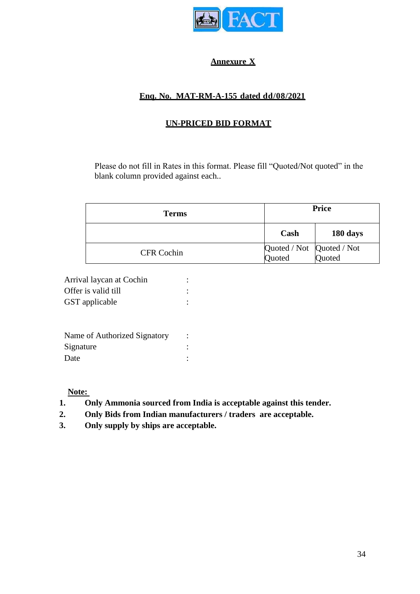

# **Annexure X**

# **Enq. No. MAT-RM-A-155 dated dd/08/2021**

# **UN-PRICED BID FORMAT**

Please do not fill in Rates in this format. Please fill "Quoted/Not quoted" in the blank column provided against each..

| <b>Terms</b>      | <b>Price</b>                               |          |
|-------------------|--------------------------------------------|----------|
|                   | Cash                                       | 180 days |
| <b>CFR Cochin</b> | Quoted / Not Quoted / Not<br>Quoted Quoted |          |

| Arrival laycan at Cochin |  |
|--------------------------|--|
| Offer is valid till      |  |
| GST applicable           |  |

| Name of Authorized Signatory |  |
|------------------------------|--|
| Signature                    |  |
| Date                         |  |

**Note:** 

- **1. Only Ammonia sourced from India is acceptable against this tender.**
- **2. Only Bids from Indian manufacturers / traders are acceptable.**
- **3. Only supply by ships are acceptable.**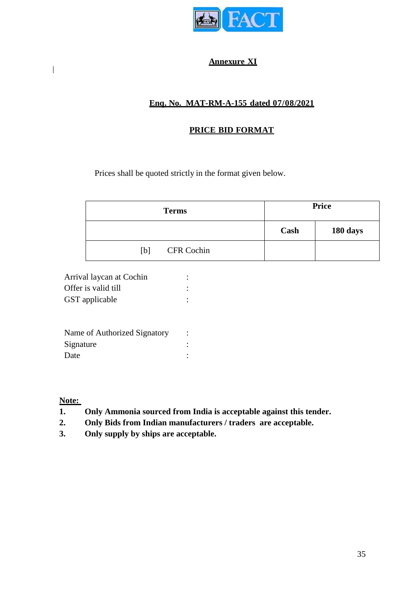

# **Annexure XI**

# **Enq. No. MAT-RM-A-155 dated 07/08/2021**

# **PRICE BID FORMAT**

Prices shall be quoted strictly in the format given below.

| <b>Terms</b>      |      | <b>Price</b> |
|-------------------|------|--------------|
|                   | Cash | 180 days     |
| CFR Cochin<br>[b] |      |              |

| Arrival laycan at Cochin |  |
|--------------------------|--|
| Offer is valid till      |  |
| GST applicable           |  |

| Name of Authorized Signatory<br>Signature<br>Date |  |
|---------------------------------------------------|--|
|                                                   |  |

**Note:** 

- **1. Only Ammonia sourced from India is acceptable against this tender.**
- **2. Only Bids from Indian manufacturers / traders are acceptable.**
- **3. Only supply by ships are acceptable.**